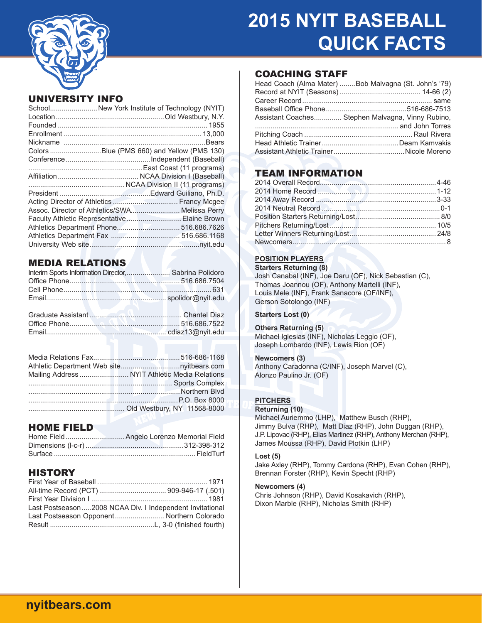

# **2015 NYIT BASEBALL QUICK FACTS**

## UNIVERSITY INFO

|  | School New York Institute of Technology (NYIT) |
|--|------------------------------------------------|
|  |                                                |
|  |                                                |
|  |                                                |
|  |                                                |
|  | Colors Blue (PMS 660) and Yellow (PMS 130)     |
|  |                                                |
|  |                                                |
|  |                                                |
|  |                                                |
|  |                                                |
|  |                                                |
|  | Assoc. Director of Athletics/SWA Melissa Perry |
|  | Faculty Athletic Representative  Elaine Brown  |
|  | Athletics Department Phone 516.686.7626        |
|  |                                                |
|  |                                                |

## MEDIA RELATIONS

| Interim Sports Information Director,  Sabrina Polidoro |  |
|--------------------------------------------------------|--|
|                                                        |  |
|                                                        |  |
|                                                        |  |
|                                                        |  |
| Graduate Assistant Martin Chantel Diaz                 |  |
|                                                        |  |
|                                                        |  |

### HOME FIELD

### **HISTORY**

| Last Postseason2008 NCAA Div. I Independent Invitational |  |
|----------------------------------------------------------|--|
| Last Postseason Opponent Northern Colorado               |  |
|                                                          |  |

### COACHING STAFF

| Head Coach (Alma Mater) Bob Malvagna (St. John's '79) |
|-------------------------------------------------------|
|                                                       |
|                                                       |
|                                                       |
| Assistant Coaches Stephen Malvagna, Vinny Rubino,     |
|                                                       |
|                                                       |
|                                                       |
| Assistant Athletic TrainerNicole Moreno               |
|                                                       |

# TEAM INFORMATION

### **POSITION PLAYERS**

**Starters Returning (8)** Josh Canabal (INF), Joe Daru (OF), Nick Sebastian (C), Thomas Joannou (OF), Anthony Martelli (INF), Louis Mele (INF), Frank Sanacore (OF/INF), Gerson Sotolongo (INF)

### **Starters Lost (0)**

### **Others Returning (5)**

Michael Iglesias (INF), Nicholas Leggio (OF), Joseph Lombardo (INF), Lewis Rion (OF)

### **Newcomers (3)**

Anthony Caradonna (C/INF), Joseph Marvel (C), Alonzo Paulino Jr. (OF)

### **PITCHERS**

### **Returning (10)**

Michael Auriemmo (LHP), Matthew Busch (RHP), Jimmy Bulva (RHP), Matt Diaz (RHP), John Duggan (RHP), J.P. Lipovac (RHP), Elias Martinez (RHP), Anthony Merchan (RHP), James Moussa (RHP), David Plotkin (LHP)

### **Lost (5)**

Jake Axley (RHP), Tommy Cardona (RHP), Evan Cohen (RHP), Brennan Forster (RHP), Kevin Specht (RHP)

### **Newcomers (4)**

Chris Johnson (RHP), David Kosakavich (RHP), Dixon Marble (RHP), Nicholas Smith (RHP)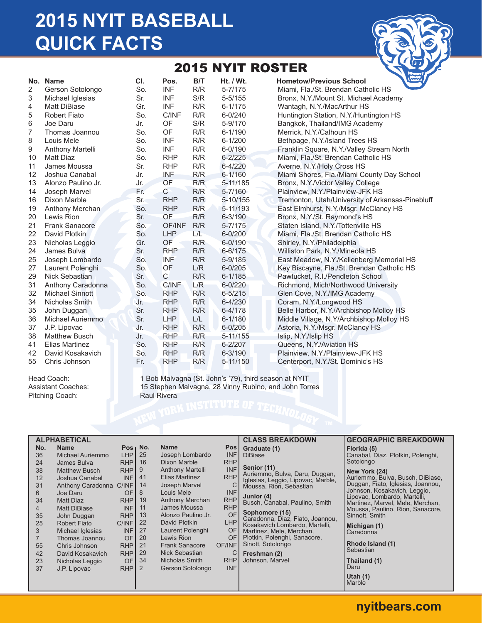# **2015 NYIT BASEBALL QUICK FACTS**



# 2015 NYIT ROSTER

|    | No. Name               | CI. | Pos.         | B/T | Ht. / Wt.   | <b>Valley</b><br><b>Hometow/Previous School</b>  |
|----|------------------------|-----|--------------|-----|-------------|--------------------------------------------------|
| 2  | Gerson Sotolongo       | So. | <b>INF</b>   | R/R | $5 - 7/175$ | Miami, Fla./St. Brendan Catholic HS              |
| 3  | Michael Iglesias       | Sr. | <b>INF</b>   | S/R | $5 - 5/155$ | Bronx, N.Y./Mount St. Michael Academy            |
| 4  | <b>Matt DiBiase</b>    | Gr. | <b>INF</b>   | R/R | $6 - 1/175$ | Wantagh, N.Y./MacArthur HS                       |
| 5  | <b>Robert Fiato</b>    | So. | C/INF        | R/R | $6 - 0/240$ | Huntington Station, N.Y./Huntington HS           |
| 6  | Joe Daru               | Jr. | OF           | S/R | 5-9/170     | Bangkok, Thailand/IMG Academy                    |
| 7  | Thomas Joannou         | So. | OF           | R/R | $6 - 1/190$ | Merrick, N.Y./Calhoun HS                         |
| 8  | Louis Mele             | So. | <b>INF</b>   | R/R | $6 - 1/200$ | Bethpage, N.Y./Island Trees HS                   |
| 9  | Anthony Martelli       | So. | <b>INF</b>   | R/R | $6 - 0/190$ | Franklin Square, N.Y./Valley Stream North        |
| 10 | Matt Diaz              | So. | <b>RHP</b>   | R/R | $6 - 2/225$ | Miami, Fla./St. Brendan Catholic HS              |
| 11 | James Moussa           | Sr. | <b>RHP</b>   | R/R | $6 - 4/220$ | Averne, N.Y./Holy Cross HS                       |
| 12 | Joshua Canabal         | Jr. | <b>INF</b>   | R/R | $6 - 1/160$ | Miami Shores, Fla./Miami County Day School       |
| 13 | Alonzo Paulino Jr.     | Jr. | OF           | R/R | 5-11/185    | Bronx, N.Y./Victor Valley College                |
| 14 | Joseph Marvel          | Fr. | $\mathsf{C}$ | R/R | $5 - 7/160$ | Plainview, N.Y./Plainview-JFK HS                 |
| 16 | Dixon Marble           | Sr. | <b>RHP</b>   | R/R | 5-10/155    | Tremonton, Utah/University of Arkansas-Pinebluff |
| 19 | Anthony Merchan        | So. | <b>RHP</b>   | R/R | 5-11/193    | East Elmhurst, N.Y./Msgr. McClancy HS            |
| 20 | Lewis Rion             | Sr. | OF           | R/R | $6 - 3/190$ | Bronx, N.Y./St. Raymond's HS                     |
| 21 | <b>Frank Sanacore</b>  | So. | OF/INF       | R/R | $5 - 7/175$ | Staten Island, N.Y./Tottenville HS               |
| 22 | David Plotkin          | So. | LHP          | L/L | $6 - 0/200$ | Miami, Fla./St. Brendan Catholic HS              |
| 23 | Nicholas Leggio        | Gr. | OF           | R/R | $6 - 0/190$ | Shirley, N.Y./Philadelphia                       |
| 24 | James Bulva            | Sr. | <b>RHP</b>   | R/R | $6 - 6/175$ | Williston Park, N.Y./Mineola HS                  |
| 25 | Joseph Lombardo        | So. | <b>INF</b>   | R/R | $5 - 9/185$ | East Meadow, N.Y./Kellenberg Memorial HS         |
| 27 | Laurent Polenghi       | So. | OF           | L/R | $6 - 0/205$ | Key Biscayne, Fla./St. Brendan Catholic HS       |
| 29 | Nick Sebastian         | Sr. | C            | R/R | $6 - 1/185$ | Pawtucket, R.I./Pendleton School                 |
| 31 | Anthony Caradonna      | So. | C/INF        | L/R | $6 - 0/220$ | Richmond, Mich/Northwood University              |
| 32 | <b>Michael Sinnott</b> | So. | <b>RHP</b>   | R/R | $6 - 5/215$ | Glen Cove, N.Y./IMG Academy                      |
| 34 | Nicholas Smith         | Jr. | <b>RHP</b>   | R/R | 6-4/230     | Coram, N.Y./Longwood HS                          |
| 35 | John Duggan            | Sr. | <b>RHP</b>   | R/R | $6 - 4/178$ | Belle Harbor, N.Y./Archbishop Molloy HS          |
| 36 | Michael Auriemmo       | Sr. | <b>LHP</b>   | L/L | 6-1/180     | Middle Village, N.Y/Archbishop Molloy HS         |
| 37 | J.P. Lipovac           | Jr. | <b>RHP</b>   | R/R | $6 - 0/205$ | Astoria, N.Y./Msgr. McClancy HS                  |
| 38 | <b>Matthew Busch</b>   | Jr. | <b>RHP</b>   | R/R | 5-11/155    | Islip, N.Y./Islip HS                             |
| 41 | Elias Martinez         | So. | <b>RHP</b>   | R/R | 6-2/207     | Queens, N.Y./Aviation HS                         |
| 42 | David Kosakavich       | So. | <b>RHP</b>   | R/R | $6 - 3/190$ | Plainview, N.Y./Plainview-JFK HS                 |
| 55 | Chris Johnson          | Fr. | <b>RHP</b>   | R/R | 5-11/150    | Centerport, N.Y./St. Dominic's HS                |

Pitching Coach:

Head Coach: 1 Bob Malvagna (St. John's '79), third season at NYIT<br>Assistant Coaches: 15 Stephen Malvagna, 28 Vinny Rubino, and John Tor 15 Stephen Malvagna, 28 Vinny Rubino, and John Torres<br>Raul Rivera

### **ALPHABETICAL**

| No.            | Name                 | Pos        | No.            |
|----------------|----------------------|------------|----------------|
| 36             | Michael Auriemmo     | LHP        | 25             |
| 24             | James Bulva          | <b>RHP</b> | 16             |
| 38             | <b>Matthew Busch</b> | <b>RHP</b> | 9              |
| 12             | Joshua Canabal       | <b>INF</b> | 41             |
| 31             | Anthony Caradonna    | C/INF      | 14             |
| 6              | Joe Daru             | OF         | 8              |
| 34             | <b>Matt Diaz</b>     | <b>RHP</b> | 19             |
| $\overline{4}$ | Matt DiBiase         | <b>INF</b> | 11             |
| 35             | John Duggan          | <b>RHP</b> | 13             |
| 25             | <b>Robert Fiato</b>  | C/INF      | 22             |
| 3              | Michael Iglesias     | <b>INF</b> | 27             |
| $\overline{7}$ | Thomas Joannou       | OF         | 20             |
| 55             | Chris Johnson        | <b>RHP</b> | 21             |
| 42             | David Kosakavich     | <b>RHP</b> | 29             |
| 23             | Nicholas Leggio      | OF         | 34             |
| 37             | J.P. Lipovac         | RHP        | $\overline{2}$ |
|                |                      |            |                |

| No.            | Name                    | Pos        |
|----------------|-------------------------|------------|
| 25             | Joseph Lombardo         | INF        |
| 16             | Dixon Marble            | <b>RHP</b> |
| 9              | <b>Anthony Martelli</b> | INF        |
| 41             | <b>Elias Martinez</b>   | <b>RHP</b> |
| 14             | <b>Joseph Marvel</b>    | С          |
| 8              | Louis Mele              | <b>INF</b> |
| 19             | <b>Anthony Merchan</b>  | <b>RHP</b> |
| 11             | James Moussa            | <b>RHP</b> |
| 13             | Alonzo Paulino Jr.      | OF         |
| 22             | David Plotkin           | LHP        |
| 27             | Laurent Polenghi        | OF         |
| 20             | Lewis Rion              | OF         |
| 21             | <b>Frank Sanacore</b>   | OF/INF     |
| 29             | <b>Nick Sebastian</b>   | С          |
| 34             | <b>Nicholas Smith</b>   | <b>RHP</b> |
| $\overline{2}$ | Gerson Sotolongo        | INF        |
|                |                         |            |

#### **CLASS BREAKDOWN Graduate (1) DiBiase**

**Senior (11)** Auriemmo, Bulva, Daru, Duggan, Iglesias, Leggio, Lipovac, Marble, Moussa, Rion, Sebastian

**Junior (4)** Busch, Canabal, Paulino, Smith

**Sophomore (15)** Caradonna, Diaz, Fiato, Joannou, Kosakavich Lombardo, Martelli, Martinez, Mele, Merchan, Plotkin, Polenghi, Sanacore, Sinott, Sotolongo

**Freshman (2)** Johnson, Marvel

### **GEOGRAPHIC BREAKDOWN**

**Florida (5)** Canabal, Diaz, Plotkin, Polenghi, Sotolongo

**New York (24)** Auriemmo, Bulva, Busch, DiBiase, Duggan, Fiato, Iglesias, Joannou, Johnson, Kosakavich, Leggio, Lipovac, Lombardo, Martelli, Martinez, Marvel, Mele, Merchan, Moussa, Paulino, Rion, Sanacore, Sinnott, Smith

**Michigan (1)** Caradonna

**Rhode Island (1)** Sebastian

**Thailand (1)** Daru **Utah (1) Marble** 

# **nyitbears.com**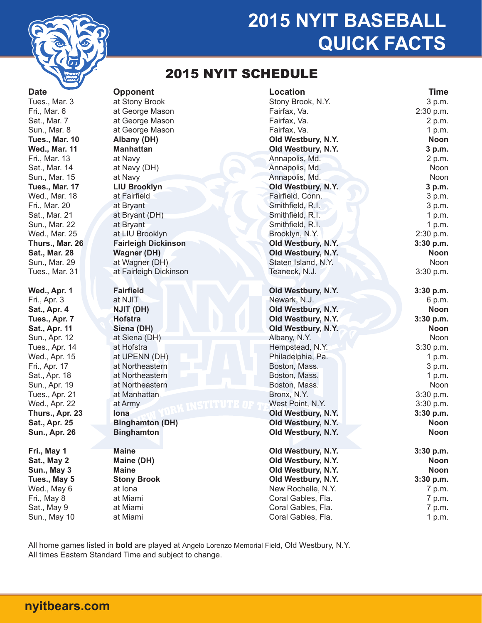

# **2015 NYIT BASEBALL QUICK FACTS**

# 2015 NYIT SCHEDULE

Sun., May 10 at Miami **Coral Gables, Fla.** 2 at Miami Coral Gables, Fla. 2 at 2 at 2 p.m.

| <b>Date</b>           | <b>Opponent</b>            | <b>Location</b>     | <b>Time</b> |
|-----------------------|----------------------------|---------------------|-------------|
| Tues., Mar. 3         | at Stony Brook             | Stony Brook, N.Y.   | 3 p.m.      |
| Fri., Mar. 6          | at George Mason            | Fairfax, Va.        | 2:30 p.m.   |
| Sat., Mar. 7          | at George Mason            | Fairfax, Va.        | 2 p.m.      |
| Sun., Mar. 8          | at George Mason            | Fairfax, Va.        | 1 p.m.      |
| <b>Tues., Mar. 10</b> | Albany (DH)                | Old Westbury, N.Y.  | <b>Noon</b> |
| <b>Wed., Mar. 11</b>  | <b>Manhattan</b>           | Old Westbury, N.Y.  | 3 p.m.      |
| Fri., Mar. 13         | at Navy                    | Annapolis, Md.      | 2 p.m.      |
| Sat., Mar. 14         | at Navy (DH)               | Annapolis, Md.      | Noon        |
| Sun., Mar. 15         | at Navy                    | Annapolis, Md.      | Noon        |
| <b>Tues., Mar. 17</b> | <b>LIU Brooklyn</b>        | Old Westbury, N.Y.  | 3 p.m.      |
| Wed., Mar. 18         | at Fairfield               | Fairfield, Conn.    | 3 p.m.      |
| Fri., Mar. 20         | at Bryant                  | Smithfield, R.I.    | 3 p.m.      |
| Sat., Mar. 21         | at Bryant (DH)             | Smithfield, R.I.    | 1 p.m.      |
| Sun., Mar. 22         | at Bryant                  | Smithfield, R.I.    | 1 p.m.      |
| Wed., Mar. 25         | at LIU Brooklyn            | Brooklyn, N.Y.      | 2:30 p.m.   |
| Thurs., Mar. 26       | <b>Fairleigh Dickinson</b> | Old Westbury, N.Y.  | 3:30 p.m.   |
| <b>Sat., Mar. 28</b>  | <b>Wagner (DH)</b>         | Old Westbury, N.Y.  | <b>Noon</b> |
| Sun., Mar. 29         | at Wagner (DH)             | Staten Island, N.Y. | Noon        |
| Tues., Mar. 31        | at Fairleigh Dickinson     | Teaneck, N.J.       | 3:30 p.m.   |
| Wed., Apr. 1          | <b>Fairfield</b>           | Old Westbury, N.Y.  | 3:30 p.m.   |
| Fri., Apr. 3          | at NJIT                    | Newark, N.J.        | 6 p.m.      |
| <b>Sat., Apr. 4</b>   | <b>NJIT (DH)</b>           | Old Westbury, N.Y.  | <b>Noon</b> |
| Tues., Apr. 7         | <b>Hofstra</b>             | Old Westbury, N.Y.  | 3:30 p.m.   |
| Sat., Apr. 11         | Siena (DH)                 | Old Westbury, N.Y.  | <b>Noon</b> |
| Sun., Apr. 12         | at Siena (DH)              | Albany, N.Y.        | Noon        |
| Tues., Apr. 14        | at Hofstra                 | Hempstead, N.Y.     | 3:30 p.m.   |
| Wed., Apr. 15         | at UPENN (DH)              | Philadelphia, Pa.   | 1 p.m.      |
| Fri., Apr. 17         | at Northeastern            | Boston, Mass.       | 3 p.m.      |
| Sat., Apr. 18         | at Northeastern            | Boston, Mass.       | 1 p.m.      |
| Sun., Apr. 19         | at Northeastern            | Boston, Mass.       | Noon        |
| Tues., Apr. 21        | at Manhattan               | Bronx, N.Y.         | 3:30 p.m.   |
| Wed., Apr. 22         | at Army                    | West Point, N.Y.    | 3:30 p.m.   |
| Thurs., Apr. 23       | Iona                       | Old Westbury, N.Y.  | 3:30 p.m.   |
| <b>Sat., Apr. 25</b>  | <b>Binghamton (DH)</b>     | Old Westbury, N.Y.  | <b>Noon</b> |
| <b>Sun., Apr. 26</b>  | <b>Binghamton</b>          | Old Westbury, N.Y.  | Noon        |
| Fri., May 1           | <b>Maine</b>               | Old Westbury, N.Y.  | 3:30 p.m.   |
| Sat., May 2           | Maine (DH)                 | Old Westbury, N.Y.  | <b>Noon</b> |
| Sun., May 3           | <b>Maine</b>               | Old Westbury, N.Y.  | <b>Noon</b> |
| Tues., May 5          | <b>Stony Brook</b>         | Old Westbury, N.Y.  | $3:30$ p.m. |
| Wed., May 6           | at Iona                    | New Rochelle, N.Y.  | 7 p.m.      |
| Fri., May 8           | at Miami                   | Coral Gables, Fla.  | 7 p.m.      |
| Sat., May 9           | at Miami                   | Coral Gables, Fla.  | 7 p.m.      |

All home games listed in **bold** are played at Angelo Lorenzo Memorial Field, Old Westbury, N.Y. All times Eastern Standard Time and subject to change.